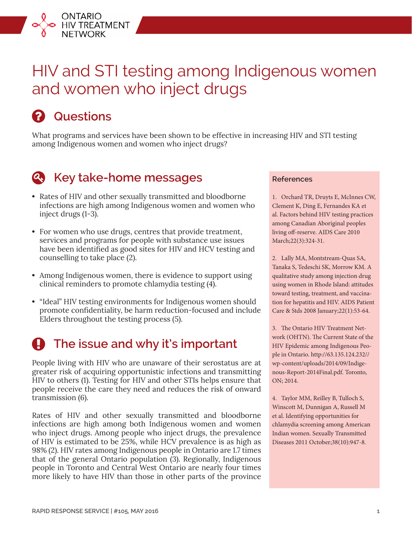# HIV and STI testing among Indigenous women and women who inject drugs

## **Questions**

ONTARIO<br>HIV TREATMENT<br>NETWORK

What programs and services have been shown to be effective in increasing HIV and STI testing among Indigenous women and women who inject drugs?



### **Key take-home messages**

- **•** Rates of HIV and other sexually transmitted and bloodborne infections are high among Indigenous women and women who inject drugs (1-3).
- **•** For women who use drugs, centres that provide treatment, services and programs for people with substance use issues have been identified as good sites for HIV and HCV testing and counselling to take place (2).
- **•** Among Indigenous women, there is evidence to support using clinical reminders to promote chlamydia testing (4).
- **•** "Ideal" HIV testing environments for Indigenous women should promote confidentiality, be harm reduction-focused and include Elders throughout the testing process (5).

## **The issue and why it's important**

People living with HIV who are unaware of their serostatus are at greater risk of acquiring opportunistic infections and transmitting HIV to others (1). Testing for HIV and other STIs helps ensure that people receive the care they need and reduces the risk of onward transmission (6).

Rates of HIV and other sexually transmitted and bloodborne infections are high among both Indigenous women and women who inject drugs. Among people who inject drugs, the prevalence of HIV is estimated to be 25%, while HCV prevalence is as high as 98% (2). HIV rates among Indigenous people in Ontario are 1.7 times that of the general Ontario population (3). Regionally, Indigenous people in Toronto and Central West Ontario are nearly four times more likely to have HIV than those in other parts of the province

#### **References**

1. Orchard TR, Druyts E, McInnes CW, Clement K, Ding E, Fernandes KA et al. Factors behind HIV testing practices among Canadian Aboriginal peoples living off-reserve. AIDS Care 2010 March;22(3):324-31.

2. Lally MA, Montstream-Quas SA, Tanaka S, Tedeschi SK, Morrow KM. A qualitative study among injection drug using women in Rhode Island: attitudes toward testing, treatment, and vaccination for hepatitis and HIV. AIDS Patient Care & Stds 2008 January;22(1):53-64.

3. The Ontario HIV Treatment Network (OHTN). The Current State of the HIV Epidemic among Indigenous People in Ontario. http://63.135.124.232// wp-content/uploads/2014/09/Indigenous-Report-2014Final.pdf. Toronto, ON; 2014.

4. Taylor MM, Reilley B, Tulloch S, Winscott M, Dunnigan A, Russell M et al. Identifying opportunities for chlamydia screening among American Indian women. Sexually Transmitted Diseases 2011 October;38(10):947-8.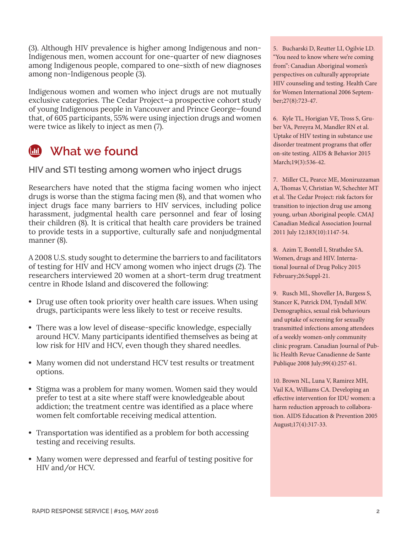(3). Although HIV prevalence is higher among Indigenous and non-Indigenous men, women account for one-quarter of new diagnoses among Indigenous people, compared to one-sixth of new diagnoses among non-Indigenous people (3).

Indigenous women and women who inject drugs are not mutually exclusive categories. The Cedar Project—a prospective cohort study of young Indigenous people in Vancouver and Prince George—found that, of 605 participants, 55% were using injection drugs and women were twice as likely to inject as men (7).



#### **What we found**

**HIV and STI testing among women who inject drugs**

Researchers have noted that the stigma facing women who inject drugs is worse than the stigma facing men (8), and that women who inject drugs face many barriers to HIV services, including police harassment, judgmental health care personnel and fear of losing their children (8). It is critical that health care providers be trained to provide tests in a supportive, culturally safe and nonjudgmental manner (8).

A 2008 U.S. study sought to determine the barriers to and facilitators of testing for HIV and HCV among women who inject drugs (2). The researchers interviewed 20 women at a short-term drug treatment centre in Rhode Island and discovered the following:

- **•** Drug use often took priority over health care issues. When using drugs, participants were less likely to test or receive results.
- **•** There was a low level of disease-specific knowledge, especially around HCV. Many participants identified themselves as being at low risk for HIV and HCV, even though they shared needles.
- **•** Many women did not understand HCV test results or treatment options.
- **•** Stigma was a problem for many women. Women said they would prefer to test at a site where staff were knowledgeable about addiction; the treatment centre was identified as a place where women felt comfortable receiving medical attention.
- **•** Transportation was identified as a problem for both accessing testing and receiving results.
- **•** Many women were depressed and fearful of testing positive for HIV and/or HCV.

5. Bucharski D, Reutter LI, Ogilvie LD. "You need to know where we're coming from": Canadian Aboriginal women's perspectives on culturally appropriate HIV counseling and testing. Health Care for Women International 2006 September;27(8):723-47.

6. Kyle TL, Horigian VE, Tross S, Gruber VA, Pereyra M, Mandler RN et al. Uptake of HIV testing in substance use disorder treatment programs that offer on-site testing. AIDS & Behavior 2015 March;19(3):536-42.

7. Miller CL, Pearce ME, Moniruzzaman A, Thomas V, Christian W, Schechter MT et al. The Cedar Project: risk factors for transition to injection drug use among young, urban Aboriginal people. CMAJ Canadian Medical Association Journal 2011 July 12;183(10):1147-54.

8. Azim T, Bontell I, Strathdee SA. Women, drugs and HIV. International Journal of Drug Policy 2015 February;26:Suppl-21.

9. Rusch ML, Shoveller JA, Burgess S, Stancer K, Patrick DM, Tyndall MW. Demographics, sexual risk behaviours and uptake of screening for sexually transmitted infections among attendees of a weekly women-only community clinic program. Canadian Journal of Public Health Revue Canadienne de Sante Publique 2008 July;99(4):257-61.

10. Brown NL, Luna V, Ramirez MH, Vail KA, Williams CA. Developing an effective intervention for IDU women: a harm reduction approach to collaboration. AIDS Education & Prevention 2005 August;17(4):317-33.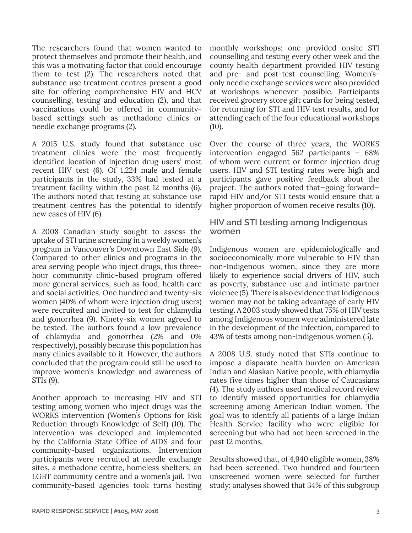The researchers found that women wanted to protect themselves and promote their health, and this was a motivating factor that could encourage them to test (2). The researchers noted that substance use treatment centres present a good site for offering comprehensive HIV and HCV counselling, testing and education (2), and that vaccinations could be offered in communitybased settings such as methadone clinics or needle exchange programs (2).

A 2015 U.S. study found that substance use treatment clinics were the most frequently identified location of injection drug users' most recent HIV test (6). Of 1,224 male and female participants in the study, 33% had tested at a treatment facility within the past 12 months (6). The authors noted that testing at substance use treatment centres has the potential to identify new cases of HIV (6).

A 2008 Canadian study sought to assess the uptake of STI urine screening in a weekly women's program in Vancouver's Downtown East Side (9). Compared to other clinics and programs in the area serving people who inject drugs, this threehour community clinic-based program offered more general services, such as food, health care and social activities. One hundred and twenty-six women (40% of whom were injection drug users) were recruited and invited to test for chlamydia and gonorrhea (9). Ninety-six women agreed to be tested. The authors found a low prevalence of chlamydia and gonorrhea (2% and 0% respectively), possibly because this population has many clinics available to it. However, the authors concluded that the program could still be used to improve women's knowledge and awareness of STIs (9).

Another approach to increasing HIV and STI testing among women who inject drugs was the WORKS intervention (Women's Options for Risk Reduction through Knowledge of Self) (10). The intervention was developed and implemented by the California State Office of AIDS and four community-based organizations. Intervention participants were recruited at needle exchange sites, a methadone centre, homeless shelters, an LGBT community centre and a women's jail. Two community-based agencies took turns hosting monthly workshops; one provided onsite STI counselling and testing every other week and the county health department provided HIV testing and pre- and post-test counselling. Women'sonly needle exchange services were also provided at workshops whenever possible. Participants received grocery store gift cards for being tested, for returning for STI and HIV test results, and for attending each of the four educational workshops  $(10)$ .

Over the course of three years, the WORKS intervention engaged 562 participants – 68% of whom were current or former injection drug users. HIV and STI testing rates were high and participants gave positive feedback about the project. The authors noted that—going forward rapid HIV and/or STI tests would ensure that a higher proportion of women receive results (10).

**HIV and STI testing among Indigenous women**

Indigenous women are epidemiologically and socioeconomically more vulnerable to HIV than non-Indigenous women, since they are more likely to experience social drivers of HIV, such as poverty, substance use and intimate partner violence (5). There is also evidence that Indigenous women may not be taking advantage of early HIV testing. A 2003 study showed that 75% of HIV tests among Indigenous women were administered late in the development of the infection, compared to 43% of tests among non-Indigenous women (5).

A 2008 U.S. study noted that STIs continue to impose a disparate health burden on American Indian and Alaskan Native people, with chlamydia rates five times higher than those of Caucasians (4). The study authors used medical record review to identify missed opportunities for chlamydia screening among American Indian women. The goal was to identify all patients of a large Indian Health Service facility who were eligible for screening but who had not been screened in the past 12 months.

Results showed that, of 4,940 eligible women, 38% had been screened. Two hundred and fourteen unscreened women were selected for further study; analyses showed that 34% of this subgroup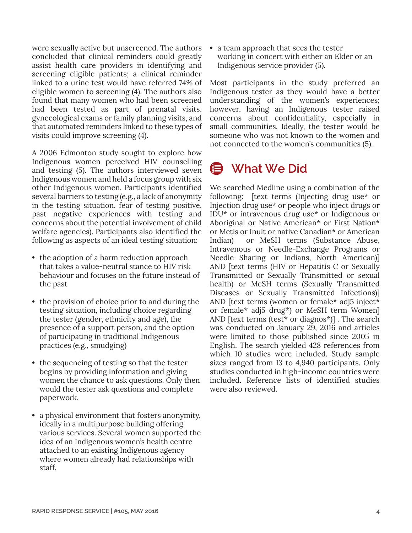were sexually active but unscreened. The authors concluded that clinical reminders could greatly assist health care providers in identifying and screening eligible patients; a clinical reminder linked to a urine test would have referred 74% of eligible women to screening (4). The authors also found that many women who had been screened had been tested as part of prenatal visits, gynecological exams or family planning visits, and that automated reminders linked to these types of visits could improve screening (4).

A 2006 Edmonton study sought to explore how Indigenous women perceived HIV counselling and testing (5). The authors interviewed seven Indigenous women and held a focus group with six other Indigenous women. Participants identified several barriers to testing (e.g., a lack of anonymity in the testing situation, fear of testing positive, past negative experiences with testing and concerns about the potential involvement of child welfare agencies). Participants also identified the following as aspects of an ideal testing situation:

- **•** the adoption of a harm reduction approach that takes a value-neutral stance to HIV risk behaviour and focuses on the future instead of the past
- **•** the provision of choice prior to and during the testing situation, including choice regarding the tester (gender, ethnicity and age), the presence of a support person, and the option of participating in traditional Indigenous practices (e.g., smudging)
- **•** the sequencing of testing so that the tester begins by providing information and giving women the chance to ask questions. Only then would the tester ask questions and complete paperwork.
- **•** a physical environment that fosters anonymity, ideally in a multipurpose building offering various services. Several women supported the idea of an Indigenous women's health centre attached to an existing Indigenous agency where women already had relationships with staff.

**•** a team approach that sees the tester working in concert with either an Elder or an Indigenous service provider (5).

Most participants in the study preferred an Indigenous tester as they would have a better understanding of the women's experiences; however, having an Indigenous tester raised concerns about confidentiality, especially in small communities. Ideally, the tester would be someone who was not known to the women and not connected to the women's communities (5).

## **What We Did**

We searched Medline using a combination of the following: [text terms (Injecting drug use\* or Injection drug use\* or people who inject drugs or IDU\* or intravenous drug use\* or Indigenous or Aboriginal or Native American\* or First Nation\* or Metis or Inuit or native Canadian\* or American Indian) or MeSH terms (Substance Abuse, Intravenous or Needle-Exchange Programs or Needle Sharing or Indians, North American)] AND [text terms (HIV or Hepatitis C or Sexually Transmitted or Sexually Transmitted or sexual health) or MeSH terms (Sexually Transmitted Diseases or Sexually Transmitted Infections)] AND [text terms (women or female\* adj5 inject\* or female\* adj5 drug\*) or MeSH term Women] AND [text terms (test\* or diagnos\*)] . The search was conducted on January 29, 2016 and articles were limited to those published since 2005 in English. The search yielded 428 references from which 10 studies were included. Study sample sizes ranged from 13 to 4,940 participants. Only studies conducted in high-income countries were included. Reference lists of identified studies were also reviewed.